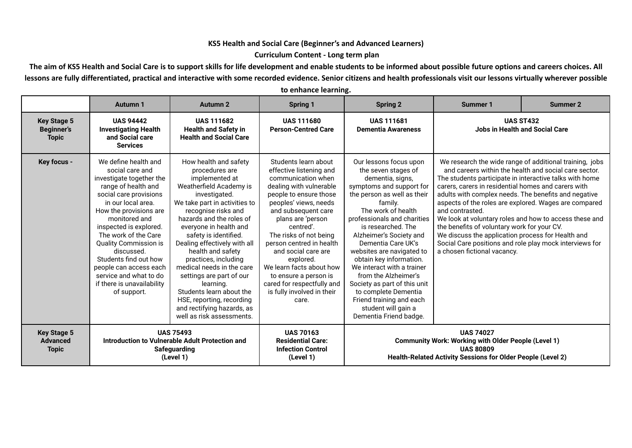## **KS5 Health and Social Care (Beginner's and Advanced Learners)**

## **Curriculum Content - Long term plan**

The aim of KS5 Health and Social Care is to support skills for life development and enable students to be informed about possible future options and careers choices. All lessons are fully differentiated, practical and interactive with some recorded evidence. Senior citizens and health professionals visit our lessons virtually wherever possible

|                                                         | <b>Autumn 1</b>                                                                                                                                                                                                                                                                                                                                                                                                 | <b>Autumn 2</b>                                                                                                                                                                                                                                                                                                                                                                                                                                                                                                     | <b>Spring 1</b>                                                                                                                                                                                                                                                                                                                                                                                                                  | <b>Spring 2</b>                                                                                                                                                                                                                                                                                                                                                                                                                                                                                                        | <b>Summer 1</b>                                                                                                                                                                                                                                                                                                                                                                         | <b>Summer 2</b>                                                                                                                                                                                                                     |
|---------------------------------------------------------|-----------------------------------------------------------------------------------------------------------------------------------------------------------------------------------------------------------------------------------------------------------------------------------------------------------------------------------------------------------------------------------------------------------------|---------------------------------------------------------------------------------------------------------------------------------------------------------------------------------------------------------------------------------------------------------------------------------------------------------------------------------------------------------------------------------------------------------------------------------------------------------------------------------------------------------------------|----------------------------------------------------------------------------------------------------------------------------------------------------------------------------------------------------------------------------------------------------------------------------------------------------------------------------------------------------------------------------------------------------------------------------------|------------------------------------------------------------------------------------------------------------------------------------------------------------------------------------------------------------------------------------------------------------------------------------------------------------------------------------------------------------------------------------------------------------------------------------------------------------------------------------------------------------------------|-----------------------------------------------------------------------------------------------------------------------------------------------------------------------------------------------------------------------------------------------------------------------------------------------------------------------------------------------------------------------------------------|-------------------------------------------------------------------------------------------------------------------------------------------------------------------------------------------------------------------------------------|
| <b>Key Stage 5</b><br><b>Beginner's</b><br><b>Topic</b> | <b>UAS 94442</b><br><b>Investigating Health</b><br>and Social care<br><b>Services</b>                                                                                                                                                                                                                                                                                                                           | <b>UAS 111682</b><br><b>Health and Safety in</b><br><b>Health and Social Care</b>                                                                                                                                                                                                                                                                                                                                                                                                                                   | <b>UAS 111680</b><br><b>Person-Centred Care</b>                                                                                                                                                                                                                                                                                                                                                                                  | <b>UAS 111681</b><br><b>Dementia Awareness</b>                                                                                                                                                                                                                                                                                                                                                                                                                                                                         |                                                                                                                                                                                                                                                                                                                                                                                         | <b>UAS ST432</b><br><b>Jobs in Health and Social Care</b>                                                                                                                                                                           |
| Key focus -                                             | We define health and<br>social care and<br>investigate together the<br>range of health and<br>social care provisions<br>in our local area.<br>How the provisions are<br>monitored and<br>inspected is explored.<br>The work of the Care<br><b>Quality Commission is</b><br>discussed.<br>Students find out how<br>people can access each<br>service and what to do<br>if there is unavailability<br>of support. | How health and safety<br>procedures are<br>implemented at<br>Weatherfield Academy is<br>investigated.<br>We take part in activities to<br>recognise risks and<br>hazards and the roles of<br>everyone in health and<br>safety is identified.<br>Dealing effectively with all<br>health and safety<br>practices, including<br>medical needs in the care<br>settings are part of our<br>learning.<br>Students learn about the<br>HSE, reporting, recording<br>and rectifying hazards, as<br>well as risk assessments. | Students learn about<br>effective listening and<br>communication when<br>dealing with vulnerable<br>people to ensure those<br>peoples' views, needs<br>and subsequent care<br>plans are 'person<br>centred'.<br>The risks of not being<br>person centred in health<br>and social care are<br>explored.<br>We learn facts about how<br>to ensure a person is<br>cared for respectfully and<br>is fully involved in their<br>care. | Our lessons focus upon<br>the seven stages of<br>dementia, signs,<br>symptoms and support for<br>the person as well as their<br>family.<br>The work of health<br>professionals and charities<br>is researched. The<br>Alzheimer's Society and<br>Dementia Care UK's<br>websites are navigated to<br>obtain key information.<br>We interact with a trainer<br>from the Alzheimer's<br>Society as part of this unit<br>to complete Dementia<br>Friend training and each<br>student will gain a<br>Dementia Friend badge. | The students participate in interactive talks with home<br>carers, carers in residential homes and carers with<br>adults with complex needs. The benefits and negative<br>and contrasted.<br>the benefits of voluntary work for your CV.<br>We discuss the application process for Health and<br>Social Care positions and role play mock interviews for<br>a chosen fictional vacancy. | We research the wide range of additional training, jobs<br>and careers within the health and social care sector.<br>aspects of the roles are explored. Wages are compared<br>We look at voluntary roles and how to access these and |
| <b>Key Stage 5</b><br><b>Advanced</b><br><b>Topic</b>   | <b>UAS 75493</b><br>Introduction to Vulnerable Adult Protection and<br><b>Safeguarding</b><br>(Level 1)                                                                                                                                                                                                                                                                                                         |                                                                                                                                                                                                                                                                                                                                                                                                                                                                                                                     | <b>UAS 70163</b><br><b>Residential Care:</b><br><b>Infection Control</b><br>(Level 1)                                                                                                                                                                                                                                                                                                                                            | <b>UAS 74027</b><br><b>Community Work: Working with Older People (Level 1)</b><br><b>UAS 80809</b><br>Health-Related Activity Sessions for Older People (Level 2)                                                                                                                                                                                                                                                                                                                                                      |                                                                                                                                                                                                                                                                                                                                                                                         |                                                                                                                                                                                                                                     |

**to enhance learning.**